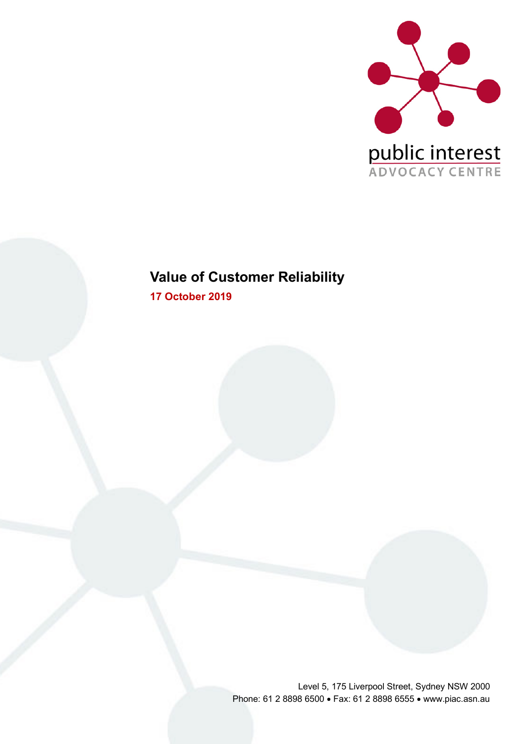

# **Value of Customer Reliability**

**17 October 2019**

Level 5, 175 Liverpool Street, Sydney NSW 2000 Phone: 61 2 8898 6500 • Fax: 61 2 8898 6555 • www.piac.asn.au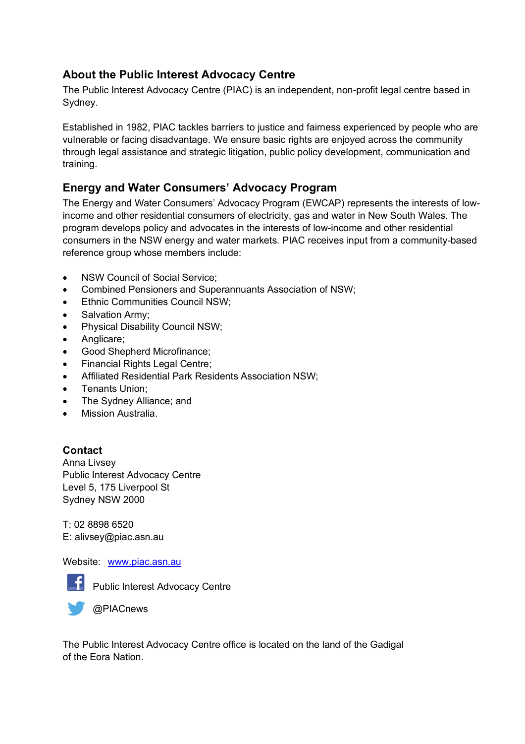### **About the Public Interest Advocacy Centre**

The Public Interest Advocacy Centre (PIAC) is an independent, non-profit legal centre based in Sydney.

Established in 1982, PIAC tackles barriers to justice and fairness experienced by people who are vulnerable or facing disadvantage. We ensure basic rights are enjoyed across the community through legal assistance and strategic litigation, public policy development, communication and training.

### **Energy and Water Consumers' Advocacy Program**

The Energy and Water Consumers' Advocacy Program (EWCAP) represents the interests of lowincome and other residential consumers of electricity, gas and water in New South Wales. The program develops policy and advocates in the interests of low-income and other residential consumers in the NSW energy and water markets. PIAC receives input from a community-based reference group whose members include:

- NSW Council of Social Service:
- Combined Pensioners and Superannuants Association of NSW;
- Ethnic Communities Council NSW;
- Salvation Army;
- Physical Disability Council NSW;
- Anglicare;
- Good Shepherd Microfinance;
- Financial Rights Legal Centre;
- Affiliated Residential Park Residents Association NSW;
- Tenants Union;
- The Sydney Alliance; and
- Mission Australia.

#### **Contact**

Anna Livsey Public Interest Advocacy Centre Level 5, 175 Liverpool St Sydney NSW 2000

T: 02 8898 6520 E: alivsey@piac.asn.au

#### Website: www.piac.asn.au



**F** Public Interest Advocacy Centre



The Public Interest Advocacy Centre office is located on the land of the Gadigal of the Eora Nation.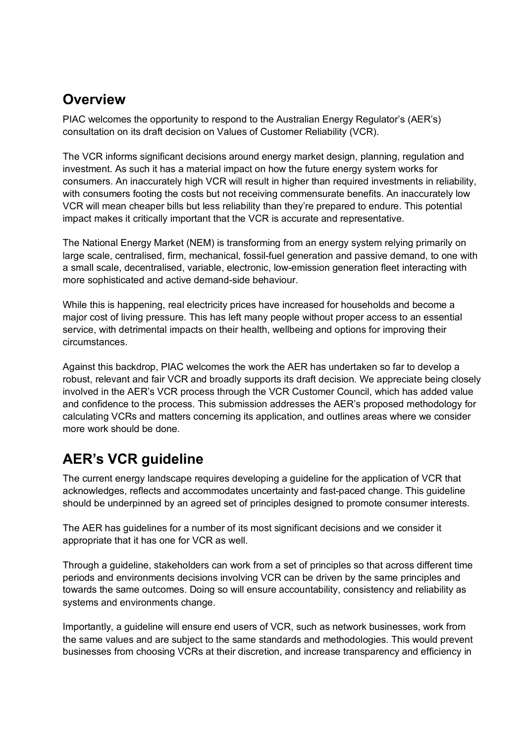## **Overview**

PIAC welcomes the opportunity to respond to the Australian Energy Regulator's (AER's) consultation on its draft decision on Values of Customer Reliability (VCR).

The VCR informs significant decisions around energy market design, planning, regulation and investment. As such it has a material impact on how the future energy system works for consumers. An inaccurately high VCR will result in higher than required investments in reliability, with consumers footing the costs but not receiving commensurate benefits. An inaccurately low VCR will mean cheaper bills but less reliability than they're prepared to endure. This potential impact makes it critically important that the VCR is accurate and representative.

The National Energy Market (NEM) is transforming from an energy system relying primarily on large scale, centralised, firm, mechanical, fossil-fuel generation and passive demand, to one with a small scale, decentralised, variable, electronic, low-emission generation fleet interacting with more sophisticated and active demand-side behaviour.

While this is happening, real electricity prices have increased for households and become a major cost of living pressure. This has left many people without proper access to an essential service, with detrimental impacts on their health, wellbeing and options for improving their circumstances.

Against this backdrop, PIAC welcomes the work the AER has undertaken so far to develop a robust, relevant and fair VCR and broadly supports its draft decision. We appreciate being closely involved in the AER's VCR process through the VCR Customer Council, which has added value and confidence to the process. This submission addresses the AER's proposed methodology for calculating VCRs and matters concerning its application, and outlines areas where we consider more work should be done.

# **AER's VCR guideline**

The current energy landscape requires developing a guideline for the application of VCR that acknowledges, reflects and accommodates uncertainty and fast-paced change. This guideline should be underpinned by an agreed set of principles designed to promote consumer interests.

The AER has guidelines for a number of its most significant decisions and we consider it appropriate that it has one for VCR as well.

Through a guideline, stakeholders can work from a set of principles so that across different time periods and environments decisions involving VCR can be driven by the same principles and towards the same outcomes. Doing so will ensure accountability, consistency and reliability as systems and environments change.

Importantly, a guideline will ensure end users of VCR, such as network businesses, work from the same values and are subject to the same standards and methodologies. This would prevent businesses from choosing VCRs at their discretion, and increase transparency and efficiency in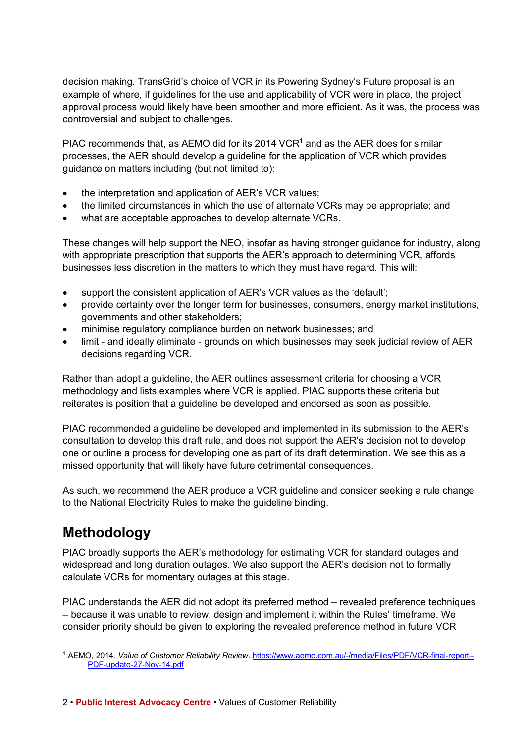decision making. TransGrid's choice of VCR in its Powering Sydney's Future proposal is an example of where, if guidelines for the use and applicability of VCR were in place, the project approval process would likely have been smoother and more efficient. As it was, the process was controversial and subject to challenges.

PIAC recommends that, as AEMO did for its 2014 VCR<sup>1</sup> and as the AER does for similar processes, the AER should develop a guideline for the application of VCR which provides guidance on matters including (but not limited to):

- the interpretation and application of AER's VCR values;
- the limited circumstances in which the use of alternate VCRs may be appropriate; and
- what are acceptable approaches to develop alternate VCRs.

These changes will help support the NEO, insofar as having stronger guidance for industry, along with appropriate prescription that supports the AER's approach to determining VCR, affords businesses less discretion in the matters to which they must have regard. This will:

- support the consistent application of AER's VCR values as the 'default';
- provide certainty over the longer term for businesses, consumers, energy market institutions, governments and other stakeholders;
- minimise regulatory compliance burden on network businesses; and
- limit and ideally eliminate grounds on which businesses may seek judicial review of AER decisions regarding VCR.

Rather than adopt a guideline, the AER outlines assessment criteria for choosing a VCR methodology and lists examples where VCR is applied. PIAC supports these criteria but reiterates is position that a guideline be developed and endorsed as soon as possible.

PIAC recommended a guideline be developed and implemented in its submission to the AER's consultation to develop this draft rule, and does not support the AER's decision not to develop one or outline a process for developing one as part of its draft determination. We see this as a missed opportunity that will likely have future detrimental consequences.

As such, we recommend the AER produce a VCR guideline and consider seeking a rule change to the National Electricity Rules to make the guideline binding.

# **Methodology**

PIAC broadly supports the AER's methodology for estimating VCR for standard outages and widespread and long duration outages. We also support the AER's decision not to formally calculate VCRs for momentary outages at this stage.

PIAC understands the AER did not adopt its preferred method – revealed preference techniques – because it was unable to review, design and implement it within the Rules' timeframe. We consider priority should be given to exploring the revealed preference method in future VCR

2 • **Public Interest Advocacy Centre** • Values of Customer Reliability

 <sup>1</sup> AEMO, 2014. *Value of Customer Reliability Review*. https://www.aemo.com.au/-/media/Files/PDF/VCR-final-report-- PDF-update-27-Nov-14.pdf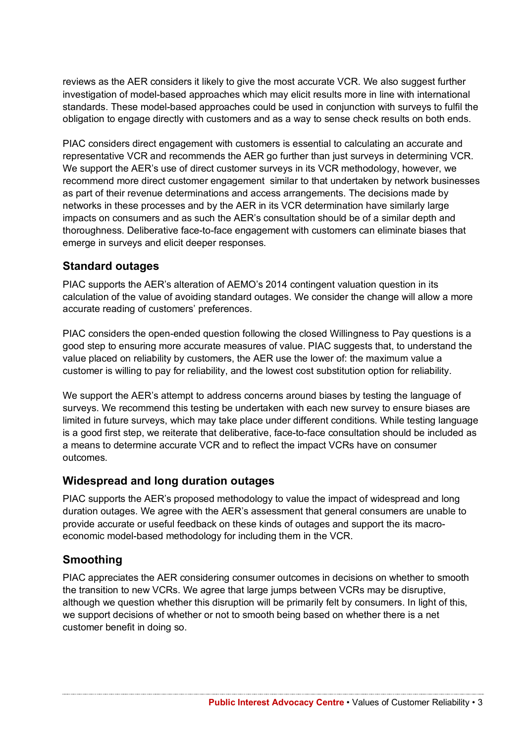reviews as the AER considers it likely to give the most accurate VCR. We also suggest further investigation of model-based approaches which may elicit results more in line with international standards. These model-based approaches could be used in conjunction with surveys to fulfil the obligation to engage directly with customers and as a way to sense check results on both ends.

PIAC considers direct engagement with customers is essential to calculating an accurate and representative VCR and recommends the AER go further than just surveys in determining VCR. We support the AER's use of direct customer surveys in its VCR methodology, however, we recommend more direct customer engagement similar to that undertaken by network businesses as part of their revenue determinations and access arrangements. The decisions made by networks in these processes and by the AER in its VCR determination have similarly large impacts on consumers and as such the AER's consultation should be of a similar depth and thoroughness. Deliberative face-to-face engagement with customers can eliminate biases that emerge in surveys and elicit deeper responses.

#### **Standard outages**

PIAC supports the AER's alteration of AEMO's 2014 contingent valuation question in its calculation of the value of avoiding standard outages. We consider the change will allow a more accurate reading of customers' preferences.

PIAC considers the open-ended question following the closed Willingness to Pay questions is a good step to ensuring more accurate measures of value. PIAC suggests that, to understand the value placed on reliability by customers, the AER use the lower of: the maximum value a customer is willing to pay for reliability, and the lowest cost substitution option for reliability.

We support the AER's attempt to address concerns around biases by testing the language of surveys. We recommend this testing be undertaken with each new survey to ensure biases are limited in future surveys, which may take place under different conditions. While testing language is a good first step, we reiterate that deliberative, face-to-face consultation should be included as a means to determine accurate VCR and to reflect the impact VCRs have on consumer outcomes.

#### **Widespread and long duration outages**

PIAC supports the AER's proposed methodology to value the impact of widespread and long duration outages. We agree with the AER's assessment that general consumers are unable to provide accurate or useful feedback on these kinds of outages and support the its macroeconomic model-based methodology for including them in the VCR.

#### **Smoothing**

PIAC appreciates the AER considering consumer outcomes in decisions on whether to smooth the transition to new VCRs. We agree that large jumps between VCRs may be disruptive, although we question whether this disruption will be primarily felt by consumers. In light of this, we support decisions of whether or not to smooth being based on whether there is a net customer benefit in doing so.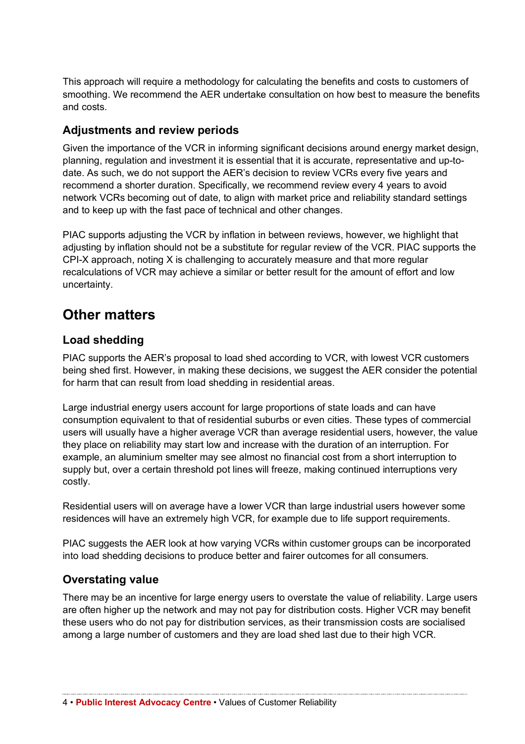This approach will require a methodology for calculating the benefits and costs to customers of smoothing. We recommend the AER undertake consultation on how best to measure the benefits and costs.

#### **Adjustments and review periods**

Given the importance of the VCR in informing significant decisions around energy market design, planning, regulation and investment it is essential that it is accurate, representative and up-todate. As such, we do not support the AER's decision to review VCRs every five years and recommend a shorter duration. Specifically, we recommend review every 4 years to avoid network VCRs becoming out of date, to align with market price and reliability standard settings and to keep up with the fast pace of technical and other changes.

PIAC supports adjusting the VCR by inflation in between reviews, however, we highlight that adjusting by inflation should not be a substitute for regular review of the VCR. PIAC supports the CPI-X approach, noting X is challenging to accurately measure and that more regular recalculations of VCR may achieve a similar or better result for the amount of effort and low uncertainty.

### **Other matters**

#### **Load shedding**

PIAC supports the AER's proposal to load shed according to VCR, with lowest VCR customers being shed first. However, in making these decisions, we suggest the AER consider the potential for harm that can result from load shedding in residential areas.

Large industrial energy users account for large proportions of state loads and can have consumption equivalent to that of residential suburbs or even cities. These types of commercial users will usually have a higher average VCR than average residential users, however, the value they place on reliability may start low and increase with the duration of an interruption. For example, an aluminium smelter may see almost no financial cost from a short interruption to supply but, over a certain threshold pot lines will freeze, making continued interruptions very costly.

Residential users will on average have a lower VCR than large industrial users however some residences will have an extremely high VCR, for example due to life support requirements.

PIAC suggests the AER look at how varying VCRs within customer groups can be incorporated into load shedding decisions to produce better and fairer outcomes for all consumers.

#### **Overstating value**

There may be an incentive for large energy users to overstate the value of reliability. Large users are often higher up the network and may not pay for distribution costs. Higher VCR may benefit these users who do not pay for distribution services, as their transmission costs are socialised among a large number of customers and they are load shed last due to their high VCR.